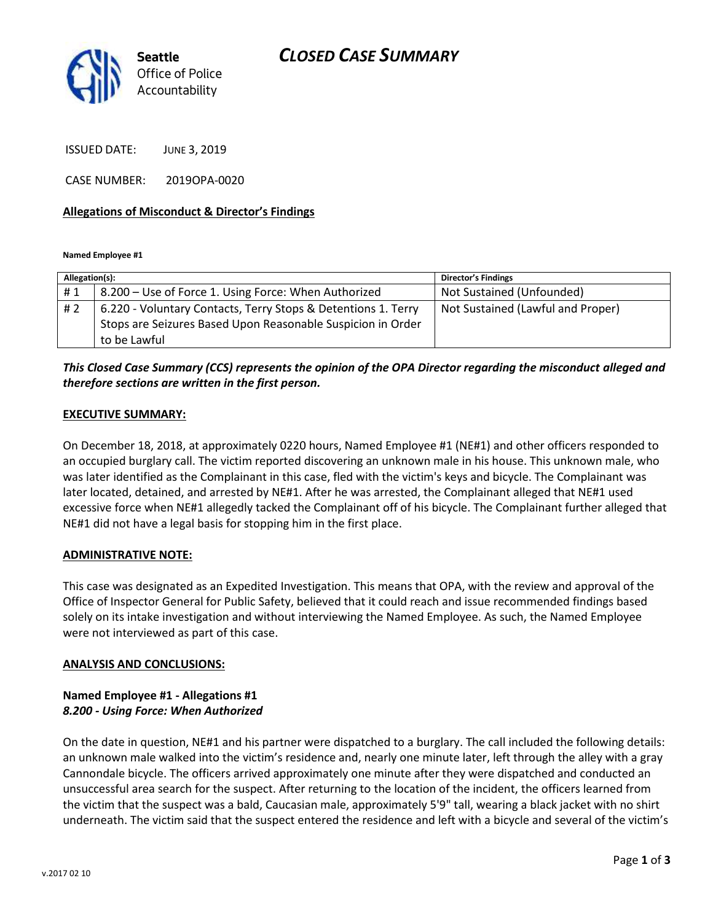

ISSUED DATE: JUNE 3, 2019

CASE NUMBER: 2019OPA-0020

#### **Allegations of Misconduct & Director's Findings**

**Named Employee #1**

| Allegation(s): |                                                               | <b>Director's Findings</b>        |
|----------------|---------------------------------------------------------------|-----------------------------------|
| #1             | 8.200 - Use of Force 1. Using Force: When Authorized          | Not Sustained (Unfounded)         |
| #2             | 6.220 - Voluntary Contacts, Terry Stops & Detentions 1. Terry | Not Sustained (Lawful and Proper) |
|                | Stops are Seizures Based Upon Reasonable Suspicion in Order   |                                   |
|                | to be Lawful                                                  |                                   |

### *This Closed Case Summary (CCS) represents the opinion of the OPA Director regarding the misconduct alleged and therefore sections are written in the first person.*

#### **EXECUTIVE SUMMARY:**

On December 18, 2018, at approximately 0220 hours, Named Employee #1 (NE#1) and other officers responded to an occupied burglary call. The victim reported discovering an unknown male in his house. This unknown male, who was later identified as the Complainant in this case, fled with the victim's keys and bicycle. The Complainant was later located, detained, and arrested by NE#1. After he was arrested, the Complainant alleged that NE#1 used excessive force when NE#1 allegedly tacked the Complainant off of his bicycle. The Complainant further alleged that NE#1 did not have a legal basis for stopping him in the first place.

#### **ADMINISTRATIVE NOTE:**

This case was designated as an Expedited Investigation. This means that OPA, with the review and approval of the Office of Inspector General for Public Safety, believed that it could reach and issue recommended findings based solely on its intake investigation and without interviewing the Named Employee. As such, the Named Employee were not interviewed as part of this case.

#### **ANALYSIS AND CONCLUSIONS:**

#### **Named Employee #1 - Allegations #1** *8.200 - Using Force: When Authorized*

On the date in question, NE#1 and his partner were dispatched to a burglary. The call included the following details: an unknown male walked into the victim's residence and, nearly one minute later, left through the alley with a gray Cannondale bicycle. The officers arrived approximately one minute after they were dispatched and conducted an unsuccessful area search for the suspect. After returning to the location of the incident, the officers learned from the victim that the suspect was a bald, Caucasian male, approximately 5'9" tall, wearing a black jacket with no shirt underneath. The victim said that the suspect entered the residence and left with a bicycle and several of the victim's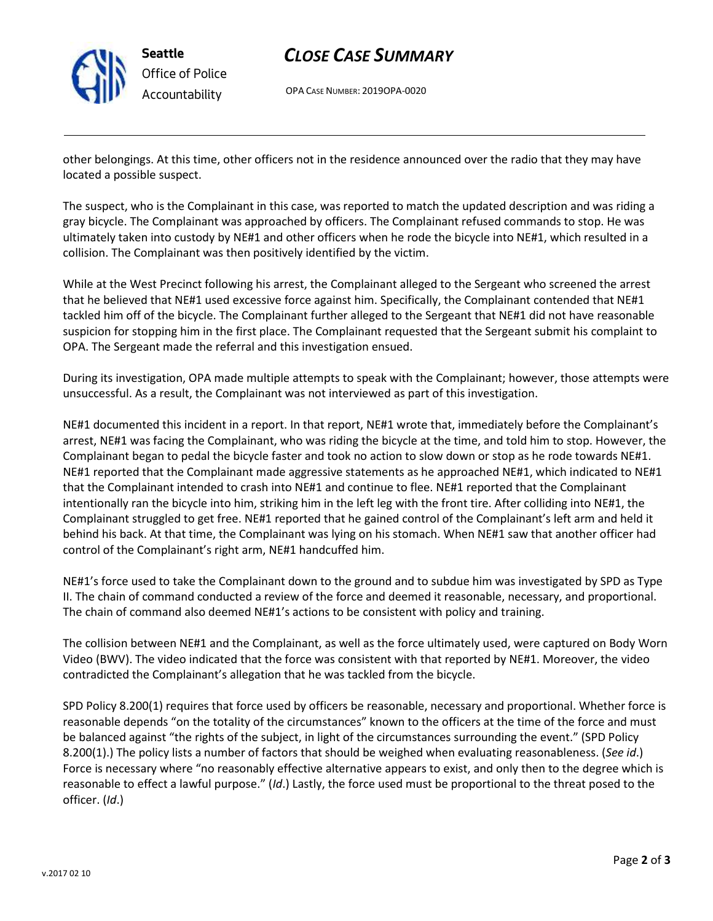

**Seattle** *Office of Police Accountability*

## *CLOSE CASE SUMMARY*

OPA CASE NUMBER: 2019OPA-0020

other belongings. At this time, other officers not in the residence announced over the radio that they may have located a possible suspect.

The suspect, who is the Complainant in this case, was reported to match the updated description and was riding a gray bicycle. The Complainant was approached by officers. The Complainant refused commands to stop. He was ultimately taken into custody by NE#1 and other officers when he rode the bicycle into NE#1, which resulted in a collision. The Complainant was then positively identified by the victim.

While at the West Precinct following his arrest, the Complainant alleged to the Sergeant who screened the arrest that he believed that NE#1 used excessive force against him. Specifically, the Complainant contended that NE#1 tackled him off of the bicycle. The Complainant further alleged to the Sergeant that NE#1 did not have reasonable suspicion for stopping him in the first place. The Complainant requested that the Sergeant submit his complaint to OPA. The Sergeant made the referral and this investigation ensued.

During its investigation, OPA made multiple attempts to speak with the Complainant; however, those attempts were unsuccessful. As a result, the Complainant was not interviewed as part of this investigation.

NE#1 documented this incident in a report. In that report, NE#1 wrote that, immediately before the Complainant's arrest, NE#1 was facing the Complainant, who was riding the bicycle at the time, and told him to stop. However, the Complainant began to pedal the bicycle faster and took no action to slow down or stop as he rode towards NE#1. NE#1 reported that the Complainant made aggressive statements as he approached NE#1, which indicated to NE#1 that the Complainant intended to crash into NE#1 and continue to flee. NE#1 reported that the Complainant intentionally ran the bicycle into him, striking him in the left leg with the front tire. After colliding into NE#1, the Complainant struggled to get free. NE#1 reported that he gained control of the Complainant's left arm and held it behind his back. At that time, the Complainant was lying on his stomach. When NE#1 saw that another officer had control of the Complainant's right arm, NE#1 handcuffed him.

NE#1's force used to take the Complainant down to the ground and to subdue him was investigated by SPD as Type II. The chain of command conducted a review of the force and deemed it reasonable, necessary, and proportional. The chain of command also deemed NE#1's actions to be consistent with policy and training.

The collision between NE#1 and the Complainant, as well as the force ultimately used, were captured on Body Worn Video (BWV). The video indicated that the force was consistent with that reported by NE#1. Moreover, the video contradicted the Complainant's allegation that he was tackled from the bicycle.

SPD Policy 8.200(1) requires that force used by officers be reasonable, necessary and proportional. Whether force is reasonable depends "on the totality of the circumstances" known to the officers at the time of the force and must be balanced against "the rights of the subject, in light of the circumstances surrounding the event." (SPD Policy 8.200(1).) The policy lists a number of factors that should be weighed when evaluating reasonableness. (*See id*.) Force is necessary where "no reasonably effective alternative appears to exist, and only then to the degree which is reasonable to effect a lawful purpose." (*Id*.) Lastly, the force used must be proportional to the threat posed to the officer. (*Id*.)